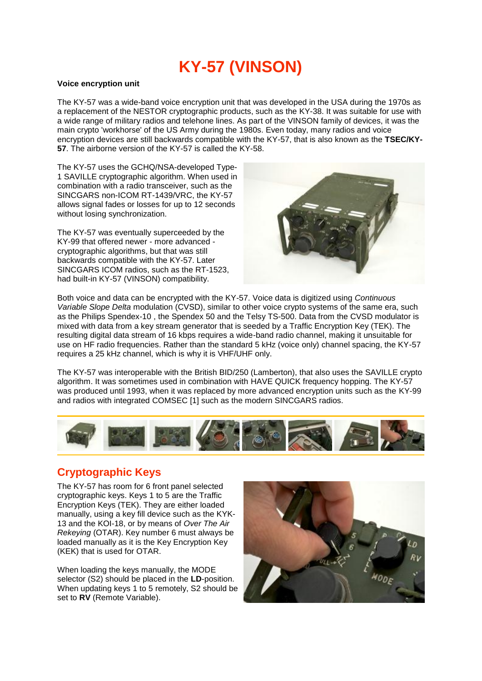# **KY-57 (VINSON)**

#### **Voice encryption unit**

The KY-57 was a wide-band voice encryption unit that was developed in the USA during the 1970s as a replacement of the NESTOR cryptographic products, such as the KY-38. It was suitable for use with a wide range of military radios and telehone lines. As part of the VINSON family of devices, it was the main crypto 'workhorse' of the US Army during the 1980s. Even today, many radios and voice encryption devices are still backwards compatible with the KY-57, that is also known as the **TSEC/KY-57**. The airborne version of the KY-57 is called the KY-58.

The KY-57 uses the GCHQ/NSA-developed Type-1 SAVILLE cryptographic algorithm. When used in combination with a radio transceiver, such as the SINCGARS non-ICOM RT-1439/VRC, the KY-57 allows signal fades or losses for up to 12 seconds without losing synchronization.

The KY-57 was eventually superceeded by the KY-99 that offered newer - more advanced cryptographic algorithms, but that was still backwards compatible with the KY-57. Later SINCGARS ICOM radios, such as the RT-1523, had built-in KY-57 (VINSON) compatibility.



Both voice and data can be encrypted with the KY-57. Voice data is digitized using *Continuous Variable Slope Delta* modulation (CVSD), similar to other voice crypto systems of the same era, such as the Philips Spendex-10 , the Spendex 50 and the Telsy TS-500. Data from the CVSD modulator is mixed with data from a key stream generator that is seeded by a Traffic Encryption Key (TEK). The resulting digital data stream of 16 kbps requires a wide-band radio channel, making it unsuitable for use on HF radio frequencies. Rather than the standard 5 kHz (voice only) channel spacing, the KY-57 requires a 25 kHz channel, which is why it is VHF/UHF only.

The KY-57 was interoperable with the British BID/250 (Lamberton), that also uses the SAVILLE crypto algorithm. It was sometimes used in combination with HAVE QUICK frequency hopping. The KY-57 was produced until 1993, when it was replaced by more advanced encryption units such as the KY-99 and radios with integrated COMSEC [1] such as the modern SINCGARS radios.



### **Cryptographic Keys**

The KY-57 has room for 6 front panel selected cryptographic keys. Keys 1 to 5 are the Traffic Encryption Keys (TEK). They are either loaded manually, using a key fill device such as the KYK-13 and the KOI-18, or by means of *Over The Air Rekeying* (OTAR). Key number 6 must always be loaded manually as it is the Key Encryption Key (KEK) that is used for OTAR.

When loading the keys manually, the MODE selector (S2) should be placed in the **LD**-position. When updating keys 1 to 5 remotely, S2 should be set to **RV** (Remote Variable).